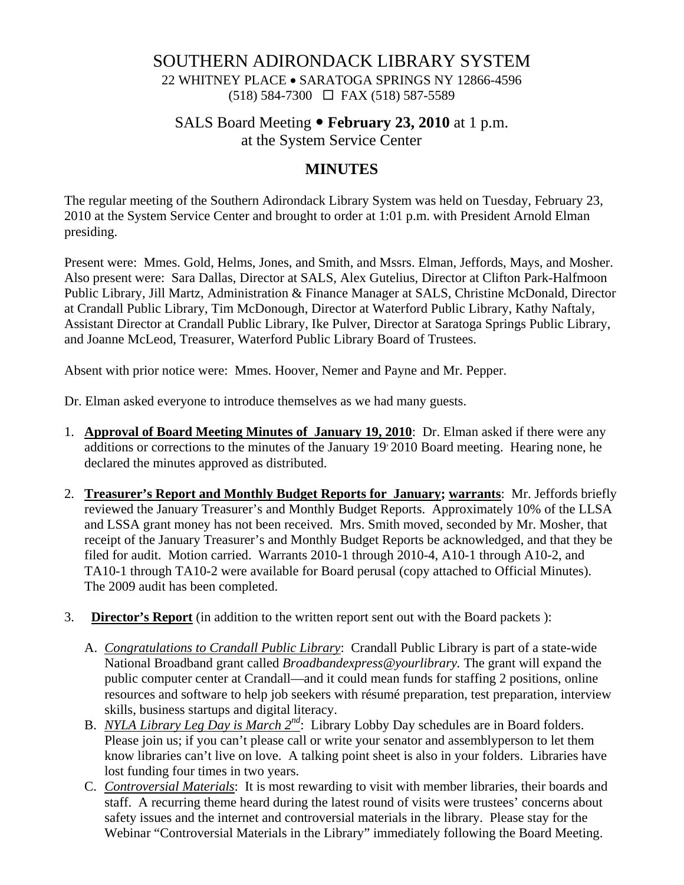### SOUTHERN ADIRONDACK LIBRARY SYSTEM

22 WHITNEY PLACE • SARATOGA SPRINGS NY 12866-4596 (518) 584-7300 FAX (518) 587-5589

# SALS Board Meeting • **February 23, 2010** at 1 p.m.

at the System Service Center

### **MINUTES**

The regular meeting of the Southern Adirondack Library System was held on Tuesday, February 23, 2010 at the System Service Center and brought to order at 1:01 p.m. with President Arnold Elman presiding.

Present were: Mmes. Gold, Helms, Jones, and Smith, and Mssrs. Elman, Jeffords, Mays, and Mosher. Also present were: Sara Dallas, Director at SALS, Alex Gutelius, Director at Clifton Park-Halfmoon Public Library, Jill Martz, Administration & Finance Manager at SALS, Christine McDonald, Director at Crandall Public Library, Tim McDonough, Director at Waterford Public Library, Kathy Naftaly, Assistant Director at Crandall Public Library, Ike Pulver, Director at Saratoga Springs Public Library, and Joanne McLeod, Treasurer, Waterford Public Library Board of Trustees.

Absent with prior notice were: Mmes. Hoover, Nemer and Payne and Mr. Pepper.

Dr. Elman asked everyone to introduce themselves as we had many guests.

- 1. **Approval of Board Meeting Minutes of January 19, 2010**: Dr. Elman asked if there were any additions or corrections to the minutes of the January 19 2010 Board meeting. Hearing none, he declared the minutes approved as distributed.
- 2. **Treasurer's Report and Monthly Budget Reports for January; warrants**: Mr. Jeffords briefly reviewed the January Treasurer's and Monthly Budget Reports. Approximately 10% of the LLSA and LSSA grant money has not been received. Mrs. Smith moved, seconded by Mr. Mosher, that receipt of the January Treasurer's and Monthly Budget Reports be acknowledged, and that they be filed for audit. Motion carried. Warrants 2010-1 through 2010-4, A10-1 through A10-2, and TA10-1 through TA10-2 were available for Board perusal (copy attached to Official Minutes). The 2009 audit has been completed.
- 3. **Director's Report** (in addition to the written report sent out with the Board packets ):
	- A. *Congratulations to Crandall Public Library*: Crandall Public Library is part of a state-wide National Broadband grant called *Broadbandexpress@yourlibrary.* The grant will expand the public computer center at Crandall—and it could mean funds for staffing 2 positions, online resources and software to help job seekers with résumé preparation, test preparation, interview skills, business startups and digital literacy.
	- B. *NYLA Library Leg Day is March 2nd*: Library Lobby Day schedules are in Board folders. Please join us; if you can't please call or write your senator and assemblyperson to let them know libraries can't live on love. A talking point sheet is also in your folders. Libraries have lost funding four times in two years.
	- C. *Controversial Materials*: It is most rewarding to visit with member libraries, their boards and staff. A recurring theme heard during the latest round of visits were trustees' concerns about safety issues and the internet and controversial materials in the library. Please stay for the Webinar "Controversial Materials in the Library" immediately following the Board Meeting.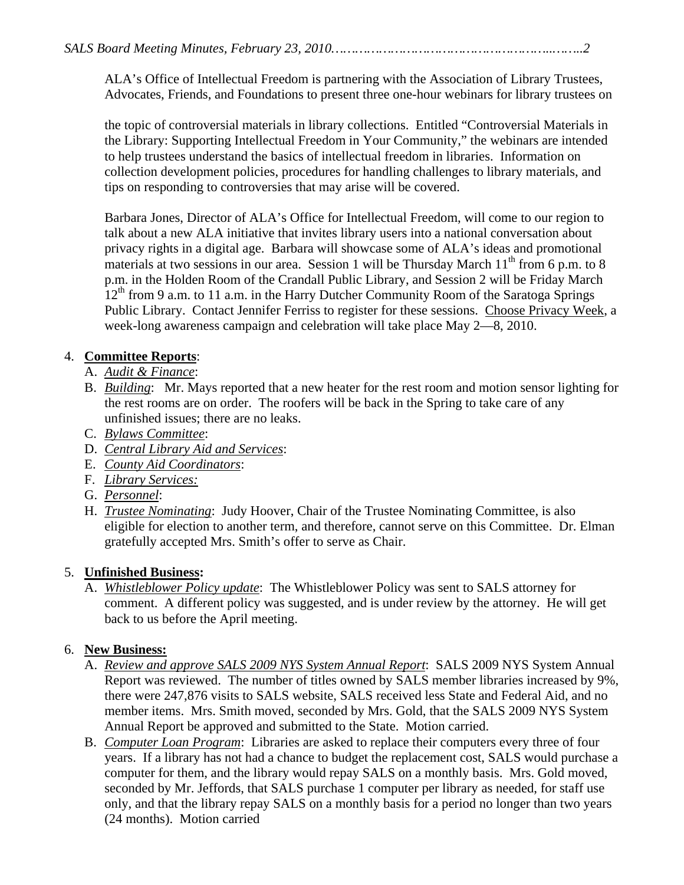ALA's Office of Intellectual Freedom is partnering with the Association of Library Trustees, Advocates, Friends, and Foundations to present three one-hour webinars for library trustees on

the topic of controversial materials in library collections. Entitled "Controversial Materials in the Library: Supporting Intellectual Freedom in Your Community," the webinars are intended to help trustees understand the basics of intellectual freedom in libraries. Information on collection development policies, procedures for handling challenges to library materials, and tips on responding to controversies that may arise will be covered.

Barbara Jones, Director of ALA's Office for Intellectual Freedom, will come to our region to talk about a new ALA initiative that invites library users into a national conversation about privacy rights in a digital age. Barbara will showcase some of ALA's ideas and promotional materials at two sessions in our area. Session 1 will be Thursday March  $11<sup>th</sup>$  from 6 p.m. to 8 p.m. in the Holden Room of the Crandall Public Library, and Session 2 will be Friday March  $12<sup>th</sup>$  from 9 a.m. to 11 a.m. in the Harry Dutcher Community Room of the Saratoga Springs Public Library. Contact Jennifer Ferriss to register for these sessions. Choose Privacy Week, a week-long awareness campaign and celebration will take place May 2—8, 2010.

### 4. **Committee Reports**:

- A. *Audit & Finance*:
- B. *Building*: Mr. Mays reported that a new heater for the rest room and motion sensor lighting for the rest rooms are on order. The roofers will be back in the Spring to take care of any unfinished issues; there are no leaks.
- C. *Bylaws Committee*:
- D. *Central Library Aid and Services*:
- E. *County Aid Coordinators*:
- F. *Library Services:*
- G. *Personnel*:
- H. *Trustee Nominating*: Judy Hoover, Chair of the Trustee Nominating Committee, is also eligible for election to another term, and therefore, cannot serve on this Committee. Dr. Elman gratefully accepted Mrs. Smith's offer to serve as Chair.

#### 5. **Unfinished Business:**

A. *Whistleblower Policy update*: The Whistleblower Policy was sent to SALS attorney for comment. A different policy was suggested, and is under review by the attorney. He will get back to us before the April meeting.

## 6. **New Business:**

- A. *Review and approve SALS 2009 NYS System Annual Report*: SALS 2009 NYS System Annual Report was reviewed. The number of titles owned by SALS member libraries increased by 9%, there were 247,876 visits to SALS website, SALS received less State and Federal Aid, and no member items. Mrs. Smith moved, seconded by Mrs. Gold, that the SALS 2009 NYS System Annual Report be approved and submitted to the State. Motion carried.
- B. *Computer Loan Program*: Libraries are asked to replace their computers every three of four years. If a library has not had a chance to budget the replacement cost, SALS would purchase a computer for them, and the library would repay SALS on a monthly basis. Mrs. Gold moved, seconded by Mr. Jeffords, that SALS purchase 1 computer per library as needed, for staff use only, and that the library repay SALS on a monthly basis for a period no longer than two years (24 months). Motion carried